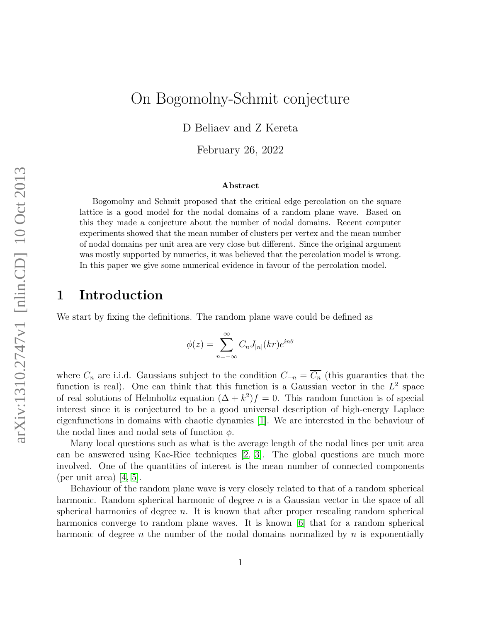# On Bogomolny-Schmit conjecture

D Beliaev and Z Kereta

February 26, 2022

#### Abstract

Bogomolny and Schmit proposed that the critical edge percolation on the square lattice is a good model for the nodal domains of a random plane wave. Based on this they made a conjecture about the number of nodal domains. Recent computer experiments showed that the mean number of clusters per vertex and the mean number of nodal domains per unit area are very close but different. Since the original argument was mostly supported by numerics, it was believed that the percolation model is wrong. In this paper we give some numerical evidence in favour of the percolation model.

## 1 Introduction

We start by fixing the definitions. The random plane wave could be defined as

$$
\phi(z) = \sum_{n = -\infty}^{\infty} C_n J_{|n|}(kr) e^{in\theta}
$$

where  $C_n$  are i.i.d. Gaussians subject to the condition  $C_{-n} = \overline{C_n}$  (this guaranties that the function is real). One can think that this function is a Gaussian vector in the  $L^2$  space of real solutions of Helmholtz equation  $(\Delta + k^2)f = 0$ . This random function is of special interest since it is conjectured to be a good universal description of high-energy Laplace eigenfunctions in domains with chaotic dynamics [\[1\]](#page-5-0). We are interested in the behaviour of the nodal lines and nodal sets of function  $\phi$ .

Many local questions such as what is the average length of the nodal lines per unit area can be answered using Kac-Rice techniques [\[2,](#page-5-1) [3\]](#page-5-2). The global questions are much more involved. One of the quantities of interest is the mean number of connected components (per unit area)  $|4, 5|$ .

Behaviour of the random plane wave is very closely related to that of a random spherical harmonic. Random spherical harmonic of degree  $n$  is a Gaussian vector in the space of all spherical harmonics of degree  $n$ . It is known that after proper rescaling random spherical harmonics converge to random plane waves. It is known [\[6\]](#page-5-5) that for a random spherical harmonic of degree n the number of the nodal domains normalized by  $n$  is exponentially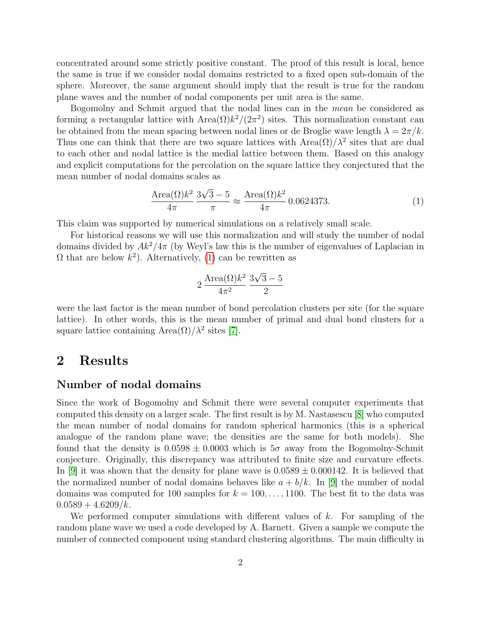concentrated around some strictly positive constant. The proof of this result is local, hence the same is true if we consider nodal domains restricted to a fixed open sub-domain of the sphere. Moreover, the same argument should imply that the result is true for the random plane waves and the number of nodal components per unit area is the same.

Bogomolny and Schmit argued that the nodal lines can in the mean be considered as forming a rectangular lattice with  $Area(\Omega)k^2/(2\pi^2)$  sites. This normalization constant can be obtained from the mean spacing between nodal lines or de Broglie wave length  $\lambda = 2\pi/k$ . Thus one can think that there are two square lattices with  $Area(\Omega)/\lambda^2$  sites that are dual to each other and nodal lattice is the medial lattice between them. Based on this analogy and explicit computations for the percolation on the square lattice they conjectured that the mean number of nodal domains scales as

<span id="page-1-0"></span>
$$
\frac{\text{Area}(\Omega)k^2}{4\pi} \frac{3\sqrt{3}-5}{\pi} \approx \frac{\text{Area}(\Omega)k^2}{4\pi} 0.0624373. \tag{1}
$$

This claim was supported by numerical simulations on a relatively small scale.

For historical reasons we will use this normalization and will study the number of nodal domains divided by  $Ak^2/4\pi$  (by Weyl's law this is the number of eigenvalues of Laplacian in  $\Omega$  that are below  $k^2$ ). Alternatively, [\(1\)](#page-1-0) can be rewritten as

$$
2 \frac{\text{Area}(\Omega)k^2}{4\pi^2} \frac{3\sqrt{3}-5}{2}
$$

were the last factor is the mean number of bond percolation clusters per site (for the square lattice). In other words, this is the mean number of primal and dual bond clusters for a square lattice containing Area $(\Omega)/\lambda^2$  sites [\[7\]](#page-5-6).

### 2 Results

#### Number of nodal domains

Since the work of Bogomolny and Schmit there were several computer experiments that computed this density on a larger scale. The first result is by M. Nastasescu [\[8\]](#page-5-7) who computed the mean number of nodal domains for random spherical harmonics (this is a spherical analogue of the random plane wave; the densities are the same for both models). She found that the density is  $0.0598 \pm 0.0003$  which is  $5\sigma$  away from the Bogomolny-Schmit conjecture. Originally, this discrepancy was attributed to finite size and curvature effects. In [\[9\]](#page-5-8) it was shown that the density for plane wave is  $0.0589 \pm 0.000142$ . It is believed that the normalized number of nodal domains behaves like  $a + b/k$ . In [\[9\]](#page-5-8) the number of nodal domains was computed for 100 samples for  $k = 100, \ldots, 1100$ . The best fit to the data was  $0.0589 + 4.6209/k$ .

We performed computer simulations with different values of  $k$ . For sampling of the random plane wave we used a code developed by A. Barnett. Given a sample we compute the number of connected component using standard clustering algorithms. The main difficulty in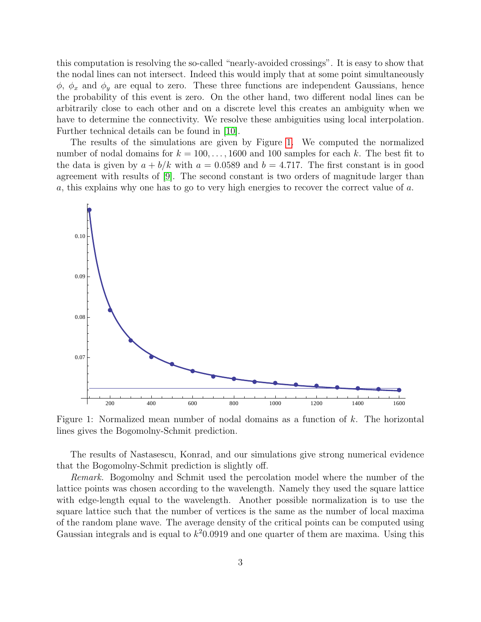this computation is resolving the so-called "nearly-avoided crossings". It is easy to show that the nodal lines can not intersect. Indeed this would imply that at some point simultaneously  $\phi$ ,  $\phi_x$  and  $\phi_y$  are equal to zero. These three functions are independent Gaussians, hence the probability of this event is zero. On the other hand, two different nodal lines can be arbitrarily close to each other and on a discrete level this creates an ambiguity when we have to determine the connectivity. We resolve these ambiguities using local interpolation. Further technical details can be found in [\[10\]](#page-5-9).

The results of the simulations are given by Figure [1.](#page-2-0) We computed the normalized number of nodal domains for  $k = 100, \ldots, 1600$  and 100 samples for each k. The best fit to the data is given by  $a + b/k$  with  $a = 0.0589$  and  $b = 4.717$ . The first constant is in good agreement with results of [\[9\]](#page-5-8). The second constant is two orders of magnitude larger than a, this explains why one has to go to very high energies to recover the correct value of a.

<span id="page-2-0"></span>

Figure 1: Normalized mean number of nodal domains as a function of k. The horizontal lines gives the Bogomolny-Schmit prediction.

The results of Nastasescu, Konrad, and our simulations give strong numerical evidence that the Bogomolny-Schmit prediction is slightly off.

Remark. Bogomolny and Schmit used the percolation model where the number of the lattice points was chosen according to the wavelength. Namely they used the square lattice with edge-length equal to the wavelength. Another possible normalization is to use the square lattice such that the number of vertices is the same as the number of local maxima of the random plane wave. The average density of the critical points can be computed using Gaussian integrals and is equal to  $k^2$ 0.0919 and one quarter of them are maxima. Using this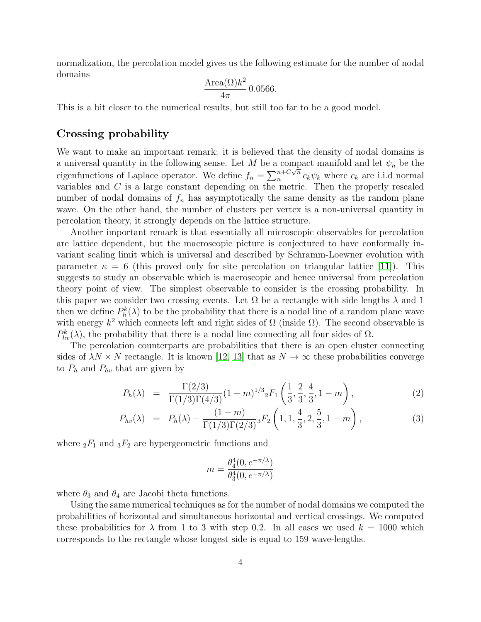normalization, the percolation model gives us the following estimate for the number of nodal domains

$$
\frac{\text{Area}(\Omega)k^2}{4\pi} 0.0566.
$$

This is a bit closer to the numerical results, but still too far to be a good model.

### Crossing probability

We want to make an important remark: it is believed that the density of nodal domains is a universal quantity in the following sense. Let M be a compact manifold and let  $\psi_n$  be the eigenfunctions of Laplace operator. We define  $f_n = \sum_{n=0}^{n+C\sqrt{n}}$  $c_k \psi_k$  where  $c_k$  are i.i.d normal variables and C is a large constant depending on the metric. Then the properly rescaled number of nodal domains of  $f_n$  has asymptotically the same density as the random plane wave. On the other hand, the number of clusters per vertex is a non-universal quantity in percolation theory, it strongly depends on the lattice structure.

Another important remark is that essentially all microscopic observables for percolation are lattice dependent, but the macroscopic picture is conjectured to have conformally invariant scaling limit which is universal and described by Schramm-Loewner evolution with parameter  $\kappa = 6$  (this proved only for site percolation on triangular lattice [\[11\]](#page-5-10)). This suggests to study an observable which is macroscopic and hence universal from percolation theory point of view. The simplest observable to consider is the crossing probability. In this paper we consider two crossing events. Let  $\Omega$  be a rectangle with side lengths  $\lambda$  and 1 then we define  $P_h^k(\lambda)$  to be the probability that there is a nodal line of a random plane wave with energy  $k^2$  which connects left and right sides of  $\Omega$  (inside  $\Omega$ ). The second observable is  $P_{hv}^k(\lambda)$ , the probability that there is a nodal line connecting all four sides of  $\Omega$ .

The percolation counterparts are probabilities that there is an open cluster connecting sides of  $\lambda N \times N$  rectangle. It is known [\[12,](#page-5-11) [13\]](#page-5-12) that as  $N \to \infty$  these probabilities converge to  $P_h$  and  $P_{hv}$  that are given by

$$
P_h(\lambda) = \frac{\Gamma(2/3)}{\Gamma(1/3)\Gamma(4/3)} (1-m)^{1/3} {}_{2}F_1\left(\frac{1}{3}, \frac{2}{3}, \frac{4}{3}, 1-m\right), \tag{2}
$$

$$
P_{hv}(\lambda) = P_h(\lambda) - \frac{(1-m)}{\Gamma(1/3)\Gamma(2/3)} {}_3F_2\left(1, 1, \frac{4}{3}, 2, \frac{5}{3}, 1-m\right), \tag{3}
$$

where  ${}_2F_1$  and  ${}_3F_2$  are hypergeometric functions and

$$
m = \frac{\theta_4^4(0, e^{-\pi/\lambda})}{\theta_3^4(0, e^{-\pi/\lambda})}
$$

where  $\theta_3$  and  $\theta_4$  are Jacobi theta functions.

Using the same numerical techniques as for the number of nodal domains we computed the probabilities of horizontal and simultaneous horizontal and vertical crossings. We computed these probabilities for  $\lambda$  from 1 to 3 with step 0.2. In all cases we used  $k = 1000$  which corresponds to the rectangle whose longest side is equal to 159 wave-lengths.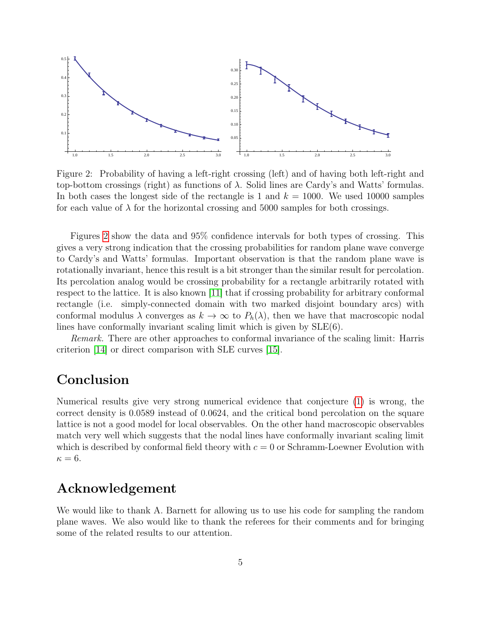<span id="page-4-0"></span>

Figure 2: Probability of having a left-right crossing (left) and of having both left-right and top-bottom crossings (right) as functions of  $\lambda$ . Solid lines are Cardy's and Watts' formulas. In both cases the longest side of the rectangle is 1 and  $k = 1000$ . We used 10000 samples for each value of  $\lambda$  for the horizontal crossing and 5000 samples for both crossings.

Figures [2](#page-4-0) show the data and 95% confidence intervals for both types of crossing. This gives a very strong indication that the crossing probabilities for random plane wave converge to Cardy's and Watts' formulas. Important observation is that the random plane wave is rotationally invariant, hence this result is a bit stronger than the similar result for percolation. Its percolation analog would be crossing probability for a rectangle arbitrarily rotated with respect to the lattice. It is also known [\[11\]](#page-5-10) that if crossing probability for arbitrary conformal rectangle (i.e. simply-connected domain with two marked disjoint boundary arcs) with conformal modulus  $\lambda$  converges as  $k \to \infty$  to  $P_h(\lambda)$ , then we have that macroscopic nodal lines have conformally invariant scaling limit which is given by SLE(6).

Remark. There are other approaches to conformal invariance of the scaling limit: Harris criterion [\[14\]](#page-5-13) or direct comparison with SLE curves [\[15\]](#page-5-14).

### Conclusion

Numerical results give very strong numerical evidence that conjecture [\(1\)](#page-1-0) is wrong, the correct density is 0.0589 instead of 0.0624, and the critical bond percolation on the square lattice is not a good model for local observables. On the other hand macroscopic observables match very well which suggests that the nodal lines have conformally invariant scaling limit which is described by conformal field theory with  $c = 0$  or Schramm-Loewner Evolution with  $\kappa = 6$ .

## Acknowledgement

We would like to thank A. Barnett for allowing us to use his code for sampling the random plane waves. We also would like to thank the referees for their comments and for bringing some of the related results to our attention.